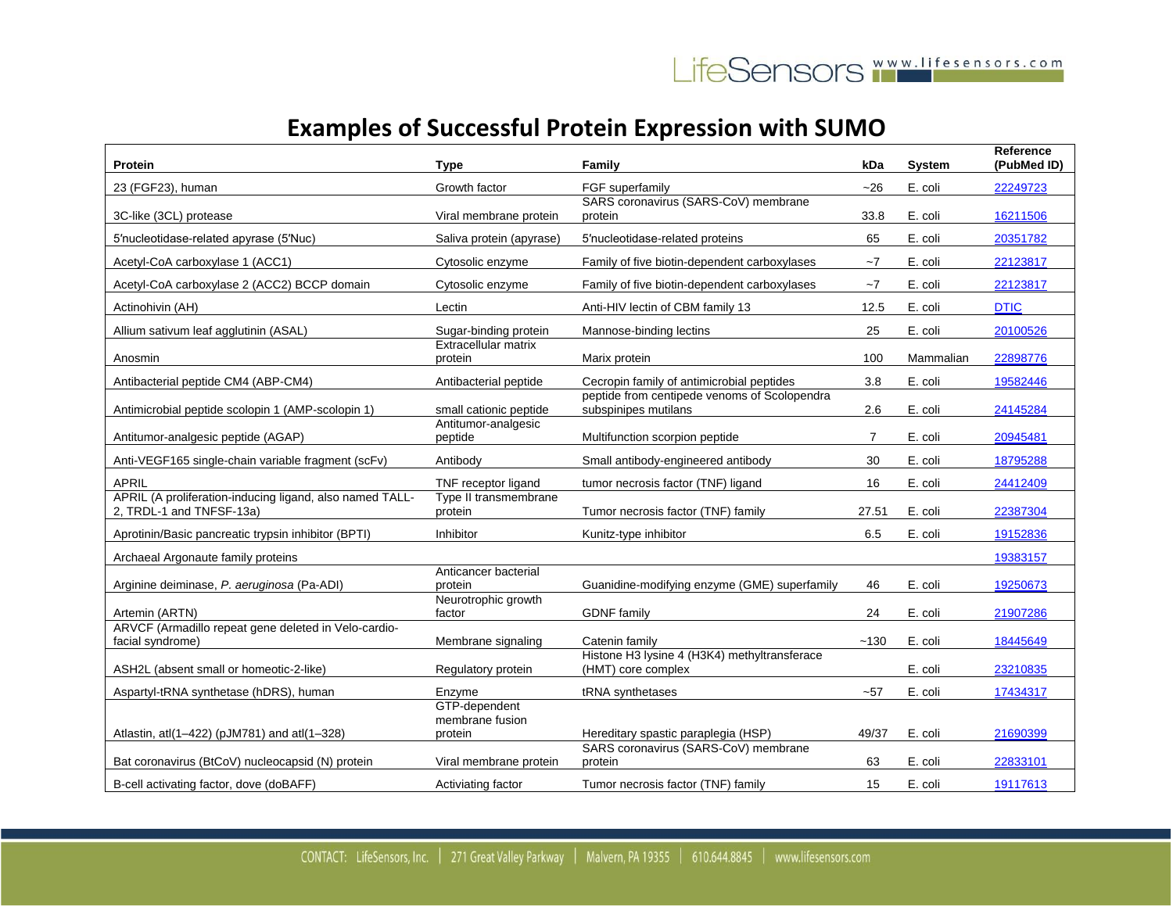| Protein                                                                              | Type                             | Family                                                               | kDa            | <b>System</b> | <b>Reference</b><br>(PubMed ID) |
|--------------------------------------------------------------------------------------|----------------------------------|----------------------------------------------------------------------|----------------|---------------|---------------------------------|
| 23 (FGF23), human                                                                    | Growth factor                    | FGF superfamily                                                      | $-26$          | E. coli       | 22249723                        |
| 3C-like (3CL) protease                                                               | Viral membrane protein           | SARS coronavirus (SARS-CoV) membrane<br>protein                      | 33.8           | E. coli       | 16211506                        |
| 5'nucleotidase-related apyrase (5'Nuc)                                               | Saliva protein (apyrase)         | 5'nucleotidase-related proteins                                      | 65             | E. coli       | 20351782                        |
| Acetyl-CoA carboxylase 1 (ACC1)                                                      | Cytosolic enzyme                 | Family of five biotin-dependent carboxylases                         | $-7$           | E. coli       | 22123817                        |
| Acetyl-CoA carboxylase 2 (ACC2) BCCP domain                                          | Cytosolic enzyme                 | Family of five biotin-dependent carboxylases                         | ~1             | E. coli       | 22123817                        |
| Actinohivin (AH)                                                                     | Lectin                           | Anti-HIV lectin of CBM family 13                                     | 12.5           | E. coli       | <b>DTIC</b>                     |
| Allium sativum leaf agglutinin (ASAL)                                                | Sugar-binding protein            | Mannose-binding lectins                                              | 25             | E. coli       | 20100526                        |
| Anosmin                                                                              | Extracellular matrix<br>protein  | Marix protein                                                        | 100            | Mammalian     | 22898776                        |
| Antibacterial peptide CM4 (ABP-CM4)                                                  | Antibacterial peptide            | Cecropin family of antimicrobial peptides                            | 3.8            | E. coli       | 19582446                        |
| Antimicrobial peptide scolopin 1 (AMP-scolopin 1)                                    | small cationic peptide           | peptide from centipede venoms of Scolopendra<br>subspinipes mutilans | 2.6            | E. coli       | 24145284                        |
| Antitumor-analgesic peptide (AGAP)                                                   | Antitumor-analgesic<br>peptide   | Multifunction scorpion peptide                                       | $\overline{7}$ | E. coli       | 20945481                        |
| Anti-VEGF165 single-chain variable fragment (scFv)                                   | Antibody                         | Small antibody-engineered antibody                                   | 30             | E. coli       | 18795288                        |
| <b>APRIL</b>                                                                         | TNF receptor ligand              | tumor necrosis factor (TNF) ligand                                   | 16             | E. coli       | 24412409                        |
| APRIL (A proliferation-inducing ligand, also named TALL-<br>2, TRDL-1 and TNFSF-13a) | Type II transmembrane<br>protein | Tumor necrosis factor (TNF) family                                   | 27.51          | E. coli       | 22387304                        |
| Aprotinin/Basic pancreatic trypsin inhibitor (BPTI)                                  | Inhibitor                        | Kunitz-type inhibitor                                                | 6.5            | E. coli       | 19152836                        |
| Archaeal Argonaute family proteins                                                   |                                  |                                                                      |                |               | 19383157                        |
| Arginine deiminase, P. aeruginosa (Pa-ADI)                                           | Anticancer bacterial<br>protein  | Guanidine-modifying enzyme (GME) superfamily                         | 46             | E. coli       | 19250673                        |
| Artemin (ARTN)                                                                       | Neurotrophic growth<br>factor    | <b>GDNF</b> family                                                   | 24             | E. coli       | 21907286                        |
| ARVCF (Armadillo repeat gene deleted in Velo-cardio-<br>facial syndrome)             | Membrane signaling               | Catenin family                                                       | ~130           | E. coli       | 18445649                        |
| ASH2L (absent small or homeotic-2-like)                                              | Regulatory protein               | Histone H3 lysine 4 (H3K4) methyltransferace<br>(HMT) core complex   |                | E. coli       | 23210835                        |
| Aspartyl-tRNA synthetase (hDRS), human                                               | Enzyme                           | tRNA synthetases                                                     | $-57$          | E. coli       | 17434317                        |
|                                                                                      | GTP-dependent<br>membrane fusion |                                                                      |                |               |                                 |
| Atlastin, atl(1-422) (pJM781) and atl(1-328)                                         | protein                          | Hereditary spastic paraplegia (HSP)                                  | 49/37          | E. coli       | 21690399                        |
| Bat coronavirus (BtCoV) nucleocapsid (N) protein                                     | Viral membrane protein           | SARS coronavirus (SARS-CoV) membrane<br>protein                      | 63             | E. coli       | 22833101                        |
| B-cell activating factor, dove (doBAFF)                                              | Activiating factor               | Tumor necrosis factor (TNF) family                                   | 15             | E. coli       | 19117613                        |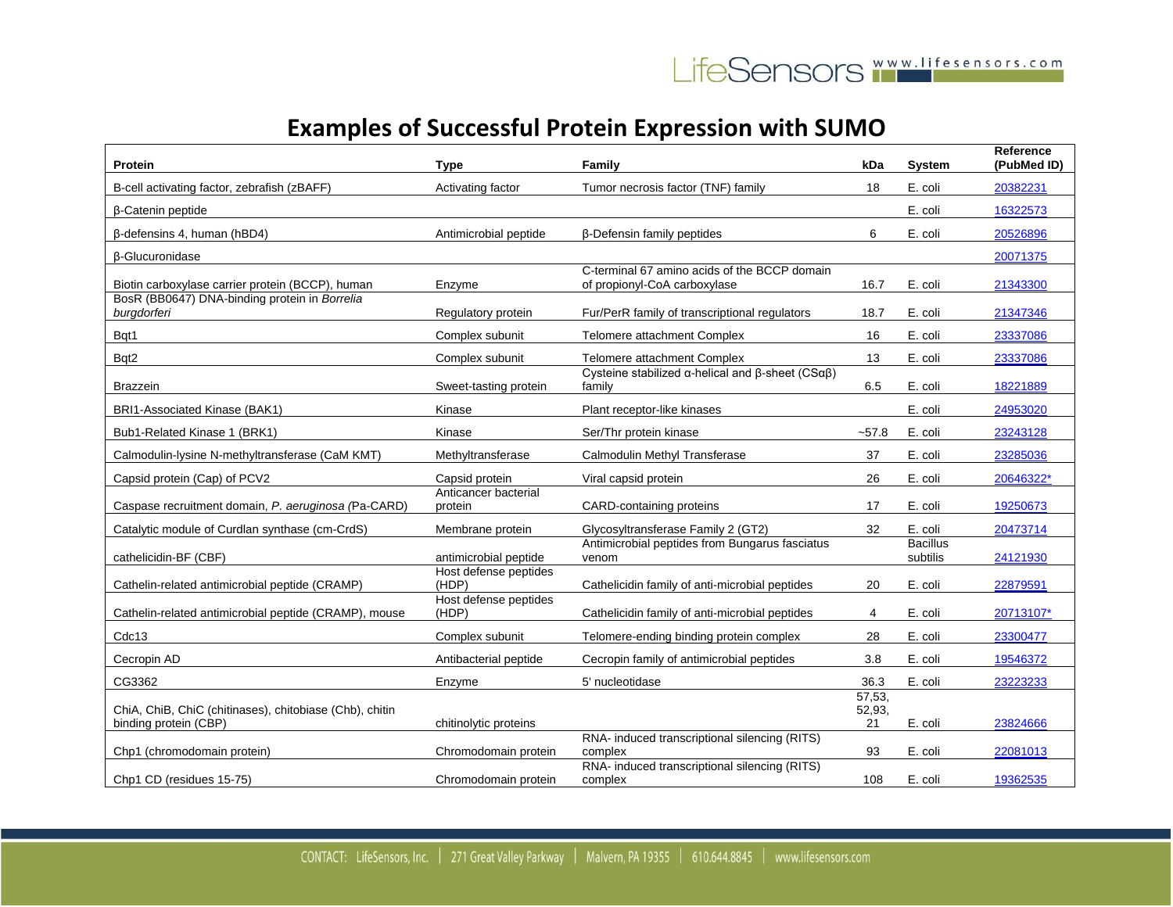| Protein                                                                          | <b>Type</b>                     | Family                                                                                 | kDa                    | <b>System</b>               | Reference<br>(PubMed ID) |
|----------------------------------------------------------------------------------|---------------------------------|----------------------------------------------------------------------------------------|------------------------|-----------------------------|--------------------------|
| B-cell activating factor, zebrafish (zBAFF)                                      | Activating factor               | Tumor necrosis factor (TNF) family                                                     | 18                     | E. coli                     | 20382231                 |
| <b>B-Catenin peptide</b>                                                         |                                 |                                                                                        |                        | E. coli                     | 16322573                 |
| $\beta$ -defensins 4, human (hBD4)                                               | Antimicrobial peptide           | β-Defensin family peptides                                                             | 6                      | E. coli                     | 20526896                 |
| <b>ß-Glucuronidase</b>                                                           |                                 |                                                                                        |                        |                             | 20071375                 |
| Biotin carboxylase carrier protein (BCCP), human                                 | Enzyme                          | C-terminal 67 amino acids of the BCCP domain<br>of propionyl-CoA carboxylase           | 16.7                   | E. coli                     | 21343300                 |
| BosR (BB0647) DNA-binding protein in Borrelia<br>burgdorferi                     | Regulatory protein              | Fur/PerR family of transcriptional regulators                                          | 18.7                   | E. coli                     | 21347346                 |
| Bqt1                                                                             | Complex subunit                 | Telomere attachment Complex                                                            | 16                     | E. coli                     | 23337086                 |
| Bqt2                                                                             | Complex subunit                 | Telomere attachment Complex                                                            | 13                     | E. coli                     | 23337086                 |
| Brazzein                                                                         | Sweet-tasting protein           | Cysteine stabilized $\alpha$ -helical and $\beta$ -sheet (CS $\alpha\beta$ )<br>family | 6.5                    | E. coli                     | 18221889                 |
| BRI1-Associated Kinase (BAK1)                                                    | Kinase                          | Plant receptor-like kinases                                                            |                        | E. coli                     | 24953020                 |
| Bub1-Related Kinase 1 (BRK1)                                                     | Kinase                          | Ser/Thr protein kinase                                                                 | $-57.8$                | E. coli                     | 23243128                 |
| Calmodulin-lysine N-methyltransferase (CaM KMT)                                  | Methyltransferase               | Calmodulin Methyl Transferase                                                          | 37                     | E. coli                     | 23285036                 |
| Capsid protein (Cap) of PCV2                                                     | Capsid protein                  | Viral capsid protein                                                                   | 26                     | E. coli                     | 20646322*                |
| Caspase recruitment domain, P. aeruginosa (Pa-CARD)                              | Anticancer bacterial<br>protein | CARD-containing proteins                                                               | 17                     | E. coli                     | 19250673                 |
| Catalytic module of Curdlan synthase (cm-CrdS)                                   | Membrane protein                | Glycosyltransferase Family 2 (GT2)                                                     | 32                     | E. coli                     | 20473714                 |
| cathelicidin-BF (CBF)                                                            | antimicrobial peptide           | Antimicrobial peptides from Bungarus fasciatus<br>venom                                |                        | <b>Bacillus</b><br>subtilis | 24121930                 |
| Cathelin-related antimicrobial peptide (CRAMP)                                   | Host defense peptides<br>(HDP)  | Cathelicidin family of anti-microbial peptides                                         | 20                     | E. coli                     | 22879591                 |
| Cathelin-related antimicrobial peptide (CRAMP), mouse                            | Host defense peptides<br>(HDP)  | Cathelicidin family of anti-microbial peptides                                         | 4                      | E. coli                     | 20713107*                |
| Cdc13                                                                            | Complex subunit                 | Telomere-ending binding protein complex                                                | 28                     | E. coli                     | 23300477                 |
| Cecropin AD                                                                      | Antibacterial peptide           | Cecropin family of antimicrobial peptides                                              | 3.8                    | E. coli                     | 19546372                 |
| CG3362                                                                           | Enzyme                          | 5' nucleotidase                                                                        | 36.3                   | E. coli                     | 23223233                 |
| ChiA, ChiB, ChiC (chitinases), chitobiase (Chb), chitin<br>binding protein (CBP) | chitinolytic proteins           |                                                                                        | 57,53,<br>52,93,<br>21 | E. coli                     | 23824666                 |
| Chp1 (chromodomain protein)                                                      | Chromodomain protein            | RNA- induced transcriptional silencing (RITS)<br>complex                               | 93                     | E. coli                     | 22081013                 |
| Chp1 CD (residues 15-75)                                                         | Chromodomain protein            | RNA- induced transcriptional silencing (RITS)<br>complex                               | 108                    | E. coli                     | 19362535                 |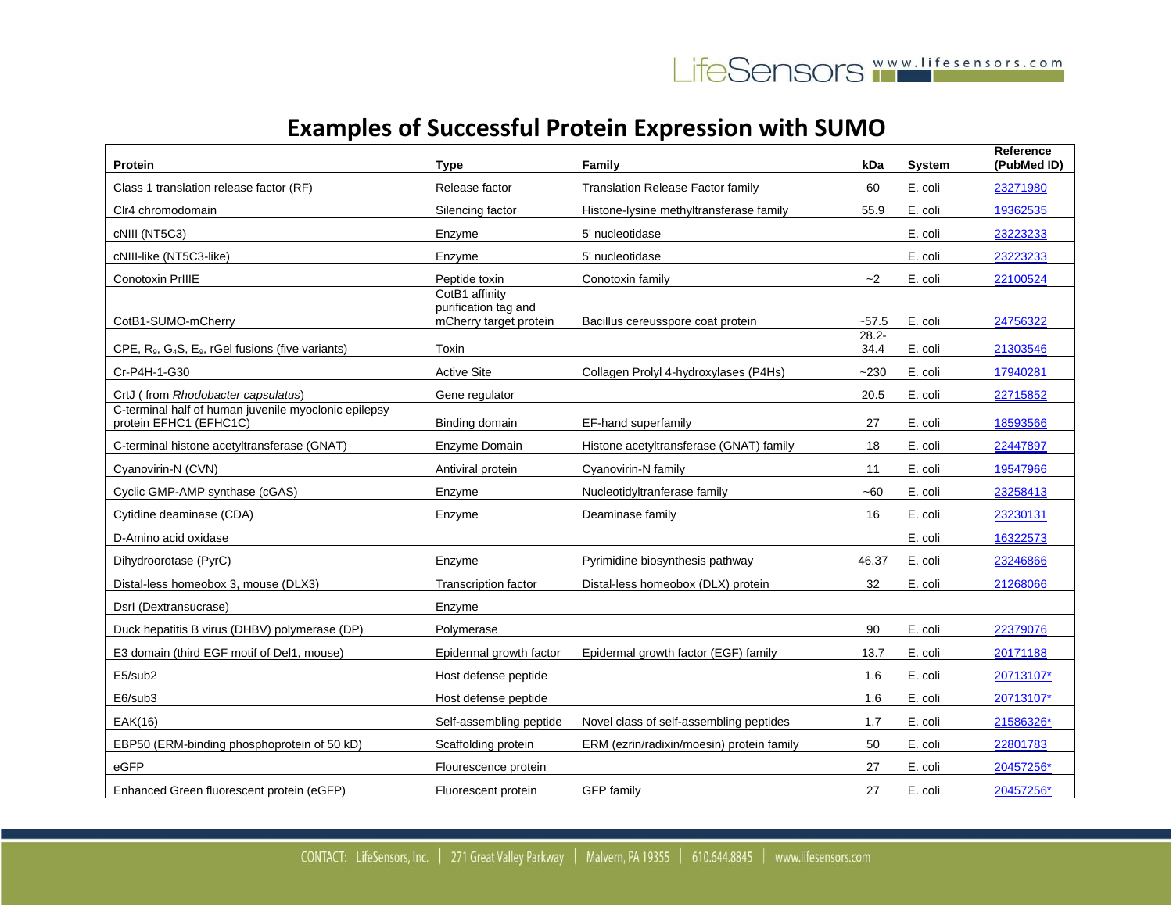| Protein                                                                               | Type                                                             | Family                                    | kDa              | <b>System</b> | <b>Reference</b><br>(PubMed ID) |
|---------------------------------------------------------------------------------------|------------------------------------------------------------------|-------------------------------------------|------------------|---------------|---------------------------------|
| Class 1 translation release factor (RF)                                               | Release factor                                                   | <b>Translation Release Factor family</b>  | 60               | E. coli       | 23271980                        |
| Clr4 chromodomain                                                                     | Silencing factor                                                 | Histone-lysine methyltransferase family   | 55.9             | E. coli       | 19362535                        |
| cNIII (NT5C3)                                                                         | Enzyme                                                           | 5' nucleotidase                           |                  | E. coli       | 23223233                        |
| cNIII-like (NT5C3-like)                                                               | Enzyme                                                           | 5' nucleotidase                           |                  | E. coli       | 23223233                        |
| Conotoxin PrIIIE                                                                      | Peptide toxin                                                    | Conotoxin family                          | $-2$             | E. coli       | 22100524                        |
| CotB1-SUMO-mCherry                                                                    | CotB1 affinity<br>purification tag and<br>mCherry target protein | Bacillus cereusspore coat protein         | $-57.5$          | E. coli       | 24756322                        |
| CPE, R <sub>9</sub> , G <sub>4</sub> S, E <sub>9</sub> , rGel fusions (five variants) | Toxin                                                            |                                           | $28.2 -$<br>34.4 | E. coli       | 21303546                        |
| Cr-P4H-1-G30                                                                          | <b>Active Site</b>                                               | Collagen Prolyl 4-hydroxylases (P4Hs)     | $-230$           | E. coli       | 17940281                        |
| CrtJ (from Rhodobacter capsulatus)                                                    | Gene regulator                                                   |                                           | 20.5             | E. coli       | 22715852                        |
| C-terminal half of human juvenile myoclonic epilepsy<br>protein EFHC1 (EFHC1C)        | Binding domain                                                   | EF-hand superfamily                       | 27               | E. coli       | 18593566                        |
| C-terminal histone acetyltransferase (GNAT)                                           | Enzyme Domain                                                    | Histone acetyltransferase (GNAT) family   | 18               | E. coli       | 22447897                        |
| Cyanovirin-N (CVN)                                                                    | Antiviral protein                                                | Cyanovirin-N family                       | 11               | E. coli       | 19547966                        |
| Cyclic GMP-AMP synthase (cGAS)                                                        | Enzyme                                                           | Nucleotidyltranferase family              | ~60              | E. coli       | 23258413                        |
| Cytidine deaminase (CDA)                                                              | Enzyme                                                           | Deaminase family                          | 16               | E. coli       | 23230131                        |
| D-Amino acid oxidase                                                                  |                                                                  |                                           |                  | E. coli       | 16322573                        |
| Dihydroorotase (PyrC)                                                                 | Enzyme                                                           | Pyrimidine biosynthesis pathway           | 46.37            | E. coli       | 23246866                        |
| Distal-less homeobox 3, mouse (DLX3)                                                  | Transcription factor                                             | Distal-less homeobox (DLX) protein        | 32               | E. coli       | 21268066                        |
| Dsrl (Dextransucrase)                                                                 | Enzyme                                                           |                                           |                  |               |                                 |
| Duck hepatitis B virus (DHBV) polymerase (DP)                                         | Polymerase                                                       |                                           | 90               | E. coli       | 22379076                        |
| E3 domain (third EGF motif of Del1, mouse)                                            | Epidermal growth factor                                          | Epidermal growth factor (EGF) family      | 13.7             | E. coli       | 20171188                        |
| E5/sub2                                                                               | Host defense peptide                                             |                                           | 1.6              | E. coli       | 20713107*                       |
| E6/sub3                                                                               | Host defense peptide                                             |                                           | 1.6              | E. coli       | 20713107*                       |
| EAK(16)                                                                               | Self-assembling peptide                                          | Novel class of self-assembling peptides   | 1.7              | E. coli       | 21586326*                       |
| EBP50 (ERM-binding phosphoprotein of 50 kD)                                           | Scaffolding protein                                              | ERM (ezrin/radixin/moesin) protein family | 50               | E. coli       | 22801783                        |
| eGFP                                                                                  | Flourescence protein                                             |                                           | 27               | E. coli       | 20457256*                       |
| Enhanced Green fluorescent protein (eGFP)                                             | Fluorescent protein                                              | <b>GFP</b> family                         | 27               | E. coli       | 20457256*                       |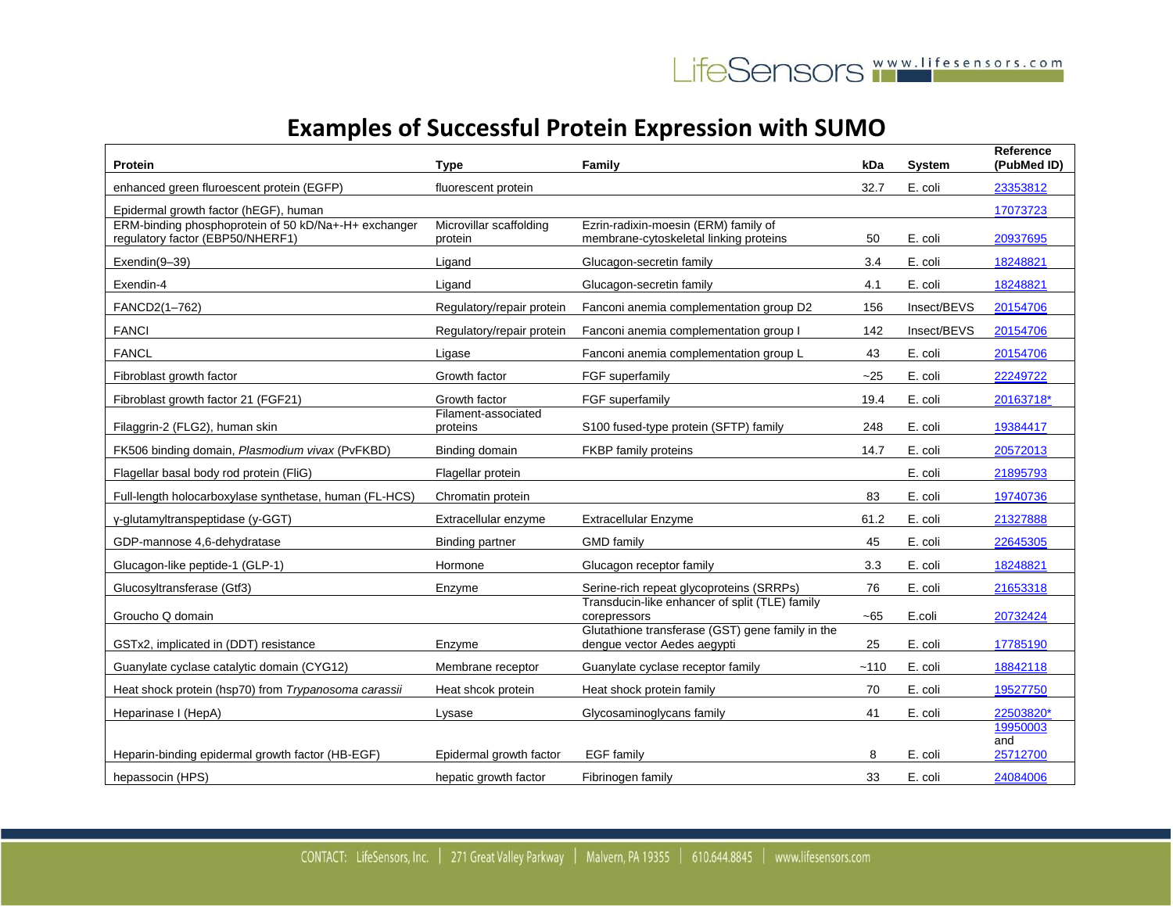| Protein                                                                                  | <b>Type</b>                        | Family                                                                          | kDa    | <b>System</b> | Reference<br>(PubMed ID) |
|------------------------------------------------------------------------------------------|------------------------------------|---------------------------------------------------------------------------------|--------|---------------|--------------------------|
| enhanced green fluroescent protein (EGFP)                                                | fluorescent protein                |                                                                                 | 32.7   | E. coli       | 23353812                 |
| Epidermal growth factor (hEGF), human                                                    |                                    |                                                                                 |        |               | 17073723                 |
| ERM-binding phosphoprotein of 50 kD/Na+-H+ exchanger<br>regulatory factor (EBP50/NHERF1) | Microvillar scaffolding<br>protein | Ezrin-radixin-moesin (ERM) family of<br>membrane-cytoskeletal linking proteins  | 50     | E. coli       | 20937695                 |
| Exendin(9-39)                                                                            | Ligand                             | Glucagon-secretin family                                                        | 3.4    | E. coli       | 18248821                 |
| Exendin-4                                                                                | Ligand                             | Glucagon-secretin family                                                        | 4.1    | E. coli       | 18248821                 |
| FANCD2(1-762)                                                                            | Regulatory/repair protein          | Fanconi anemia complementation group D2                                         | 156    | Insect/BEVS   | 20154706                 |
| <b>FANCI</b>                                                                             | Regulatory/repair protein          | Fanconi anemia complementation group I                                          | 142    | Insect/BEVS   | 20154706                 |
| <b>FANCL</b>                                                                             | Ligase                             | Fanconi anemia complementation group L                                          | 43     | E. coli       | 20154706                 |
| Fibroblast growth factor                                                                 | Growth factor                      | FGF superfamily                                                                 | $-25$  | E. coli       | 22249722                 |
| Fibroblast growth factor 21 (FGF21)                                                      | Growth factor                      | FGF superfamily                                                                 | 19.4   | E. coli       | 20163718*                |
| Filaggrin-2 (FLG2), human skin                                                           | Filament-associated<br>proteins    | S100 fused-type protein (SFTP) family                                           | 248    | E. coli       | 19384417                 |
| FK506 binding domain, Plasmodium vivax (PvFKBD)                                          | Binding domain                     | FKBP family proteins                                                            | 14.7   | E. coli       | 20572013                 |
| Flagellar basal body rod protein (FliG)                                                  | Flagellar protein                  |                                                                                 |        | E. coli       | 21895793                 |
| Full-length holocarboxylase synthetase, human (FL-HCS)                                   | Chromatin protein                  |                                                                                 | 83     | E. coli       | 19740736                 |
| y-glutamyltranspeptidase (y-GGT)                                                         | Extracellular enzyme               | <b>Extracellular Enzyme</b>                                                     | 61.2   | E. coli       | 21327888                 |
| GDP-mannose 4,6-dehydratase                                                              | <b>Binding partner</b>             | <b>GMD family</b>                                                               | 45     | E. coli       | 22645305                 |
| Glucagon-like peptide-1 (GLP-1)                                                          | Hormone                            | Glucagon receptor family                                                        | 3.3    | E. coli       | 18248821                 |
| Glucosyltransferase (Gtf3)                                                               | Enzyme                             | Serine-rich repeat glycoproteins (SRRPs)                                        | 76     | E. coli       | 21653318                 |
| Groucho Q domain                                                                         |                                    | Transducin-like enhancer of split (TLE) family<br>corepressors                  | $-65$  | E.coli        | 20732424                 |
| GSTx2, implicated in (DDT) resistance                                                    | Enzyme                             | Glutathione transferase (GST) gene family in the<br>dengue vector Aedes aegypti | 25     | E. coli       | 17785190                 |
| Guanylate cyclase catalytic domain (CYG12)                                               | Membrane receptor                  | Guanylate cyclase receptor family                                               | $-110$ | E. coli       | 18842118                 |
| Heat shock protein (hsp70) from Trypanosoma carassii                                     | Heat shcok protein                 | Heat shock protein family                                                       | 70     | E. coli       | 19527750                 |
| Heparinase I (HepA)                                                                      | Lysase                             | Glycosaminoglycans family                                                       | 41     | E. coli       | 22503820*                |
|                                                                                          |                                    |                                                                                 |        |               | 19950003<br>and          |
| Heparin-binding epidermal growth factor (HB-EGF)                                         | Epidermal growth factor            | <b>EGF</b> family                                                               | 8      | E. coli       | 25712700                 |
| hepassocin (HPS)                                                                         | hepatic growth factor              | Fibrinogen family                                                               | 33     | E. coli       | 24084006                 |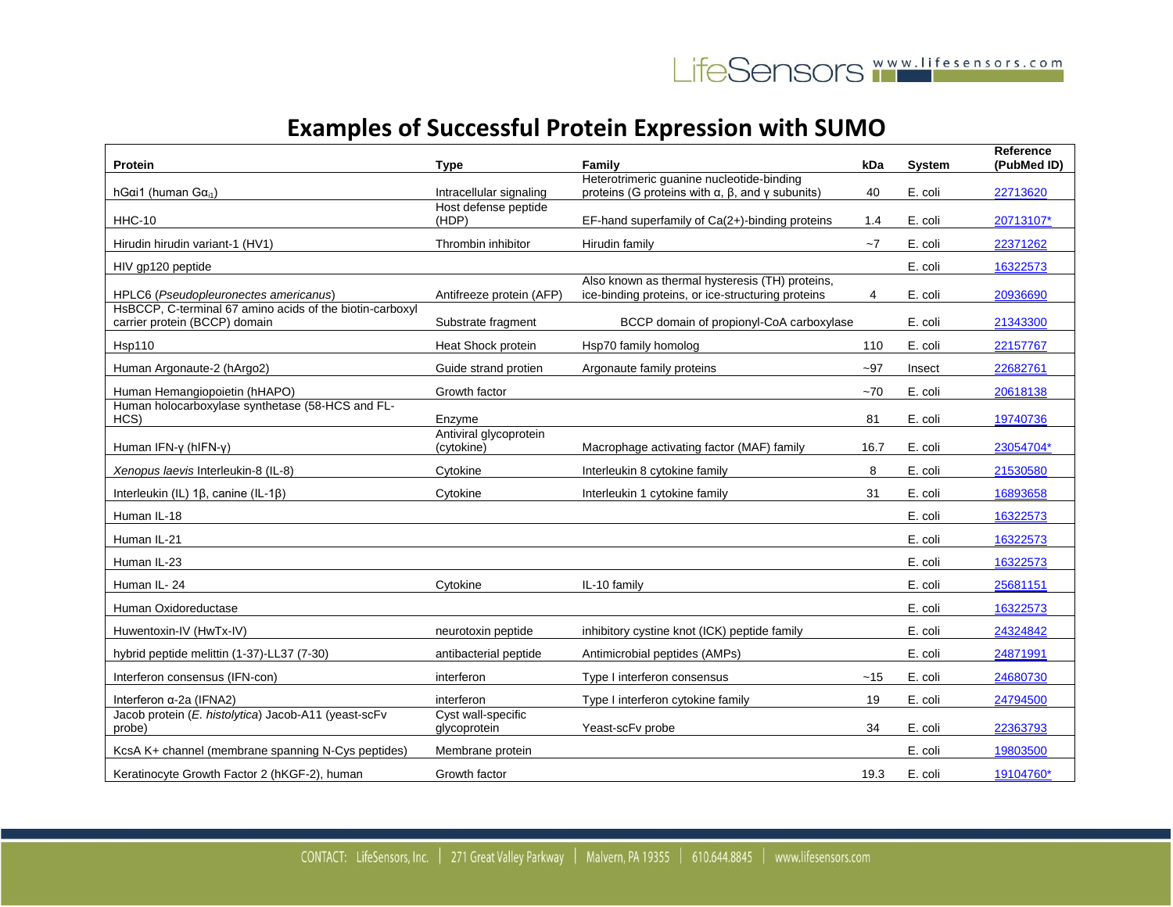| <b>Protein</b>                                                                            | Type                                 | Family                                                                                                             | kDa   | <b>System</b> | Reference<br>(PubMed ID) |
|-------------------------------------------------------------------------------------------|--------------------------------------|--------------------------------------------------------------------------------------------------------------------|-------|---------------|--------------------------|
| hGai1 (human $Ga_{i1}$ )                                                                  | Intracellular signaling              | Heterotrimeric guanine nucleotide-binding<br>proteins (G proteins with $\alpha$ , $\beta$ , and $\gamma$ subunits) | 40    | E. coli       | 22713620                 |
| <b>HHC-10</b>                                                                             | Host defense peptide<br>(HDP)        |                                                                                                                    | 1.4   | E. coli       | 20713107*                |
|                                                                                           |                                      | EF-hand superfamily of Ca(2+)-binding proteins                                                                     |       |               |                          |
| Hirudin hirudin variant-1 (HV1)                                                           | Thrombin inhibitor                   | Hirudin family                                                                                                     | $-7$  | E. coli       | 22371262                 |
| HIV gp120 peptide                                                                         |                                      | Also known as thermal hysteresis (TH) proteins,                                                                    |       | E. coli       | 16322573                 |
| HPLC6 (Pseudopleuronectes americanus)                                                     | Antifreeze protein (AFP)             | ice-binding proteins, or ice-structuring proteins                                                                  | 4     | E. coli       | 20936690                 |
| HsBCCP, C-terminal 67 amino acids of the biotin-carboxyl<br>carrier protein (BCCP) domain | Substrate fragment                   | BCCP domain of propionyl-CoA carboxylase                                                                           |       | E. coli       | 21343300                 |
| <b>Hsp110</b>                                                                             | Heat Shock protein                   | Hsp70 family homolog                                                                                               | 110   | E. coli       | 22157767                 |
| Human Argonaute-2 (hArgo2)                                                                | Guide strand protien                 | Argonaute family proteins                                                                                          | $-97$ | Insect        | 22682761                 |
| Human Hemangiopoietin (hHAPO)                                                             | Growth factor                        |                                                                                                                    | $-70$ | E. coli       | 20618138                 |
| Human holocarboxylase synthetase (58-HCS and FL-<br>HCS)                                  | Enzyme                               |                                                                                                                    | 81    | E. coli       | 19740736                 |
| Human IFN-y (hIFN-y)                                                                      | Antiviral glycoprotein<br>(cytokine) | Macrophage activating factor (MAF) family                                                                          | 16.7  | E. coli       | 23054704*                |
| Xenopus laevis Interleukin-8 (IL-8)                                                       | Cytokine                             | Interleukin 8 cytokine family                                                                                      | 8     | E. coli       | 21530580                 |
| Interleukin (IL) $1\beta$ , canine (IL-1 $\beta$ )                                        | Cytokine                             | Interleukin 1 cytokine family                                                                                      | 31    | E. coli       | 16893658                 |
| Human IL-18                                                                               |                                      |                                                                                                                    |       | E. coli       | 16322573                 |
| Human IL-21                                                                               |                                      |                                                                                                                    |       | E. coli       | 16322573                 |
| Human IL-23                                                                               |                                      |                                                                                                                    |       | E. coli       | 16322573                 |
| Human IL-24                                                                               | Cytokine                             | IL-10 family                                                                                                       |       | E. coli       | 25681151                 |
| Human Oxidoreductase                                                                      |                                      |                                                                                                                    |       | E. coli       | 16322573                 |
| Huwentoxin-IV (HwTx-IV)                                                                   | neurotoxin peptide                   | inhibitory cystine knot (ICK) peptide family                                                                       |       | E. coli       | 24324842                 |
| hybrid peptide melittin (1-37)-LL37 (7-30)                                                | antibacterial peptide                | Antimicrobial peptides (AMPs)                                                                                      |       | E. coli       | 24871991                 |
| Interferon consensus (IFN-con)                                                            | interferon                           | Type I interferon consensus                                                                                        | ~15   | E. coli       | 24680730                 |
| Interferon $\alpha$ -2a (IFNA2)                                                           | interferon                           | Type I interferon cytokine family                                                                                  | 19    | E. coli       | 24794500                 |
| Jacob protein (E. histolytica) Jacob-A11 (yeast-scFv<br>probe)                            | Cyst wall-specific<br>glycoprotein   | Yeast-scFv probe                                                                                                   | 34    | E. coli       | 22363793                 |
| KcsA K+ channel (membrane spanning N-Cys peptides)                                        | Membrane protein                     |                                                                                                                    |       | E. coli       | 19803500                 |
| Keratinocyte Growth Factor 2 (hKGF-2), human                                              | Growth factor                        |                                                                                                                    | 19.3  | E. coli       | 19104760*                |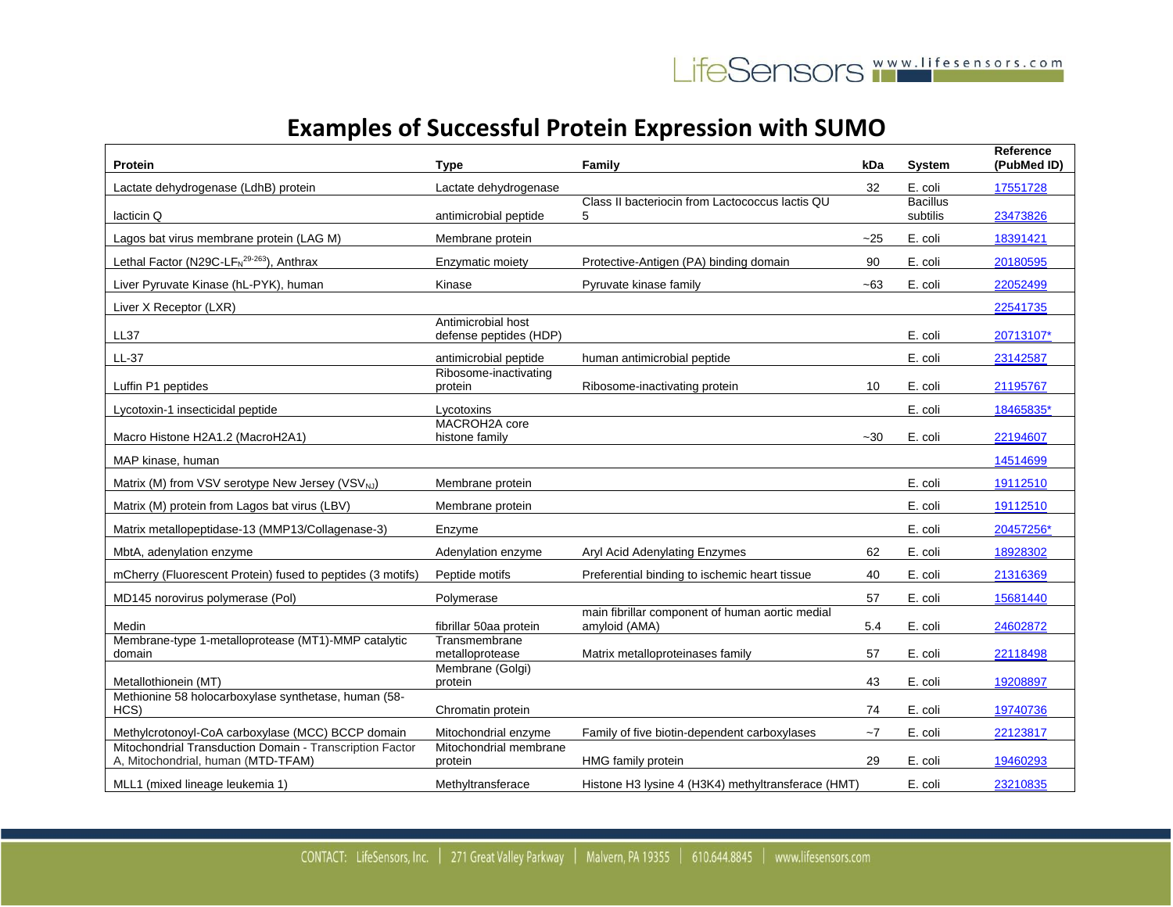| Protein                                                                                        | Type                                         | Family                                                           | kDa   | System                      | Reference<br>(PubMed ID) |
|------------------------------------------------------------------------------------------------|----------------------------------------------|------------------------------------------------------------------|-------|-----------------------------|--------------------------|
| Lactate dehydrogenase (LdhB) protein                                                           | Lactate dehydrogenase                        |                                                                  | 32    | E. coli                     | 17551728                 |
| lacticin Q                                                                                     | antimicrobial peptide                        | Class II bacteriocin from Lactococcus lactis QU<br>5             |       | <b>Bacillus</b><br>subtilis | 23473826                 |
| Lagos bat virus membrane protein (LAG M)                                                       | Membrane protein                             |                                                                  | $-25$ | E. coli                     | 18391421                 |
| Lethal Factor (N29C-LF $_{N}^{29-263}$ ), Anthrax                                              | Enzymatic moiety                             | Protective-Antigen (PA) binding domain                           | 90    | E. coli                     | 20180595                 |
| Liver Pyruvate Kinase (hL-PYK), human                                                          | Kinase                                       | Pyruvate kinase family                                           | $-63$ | E. coli                     | 22052499                 |
| Liver X Receptor (LXR)                                                                         |                                              |                                                                  |       |                             | 22541735                 |
| <b>LL37</b>                                                                                    | Antimicrobial host<br>defense peptides (HDP) |                                                                  |       | E. coli                     | 20713107*                |
| LL-37                                                                                          | antimicrobial peptide                        | human antimicrobial peptide                                      |       | E. coli                     | 23142587                 |
| Luffin P1 peptides                                                                             | Ribosome-inactivating<br>protein             | Ribosome-inactivating protein                                    | 10    | E. coli                     | 21195767                 |
| Lycotoxin-1 insecticidal peptide                                                               | Lycotoxins                                   |                                                                  |       | E. coli                     | 18465835*                |
| Macro Histone H2A1.2 (MacroH2A1)                                                               | MACROH2A core<br>histone family              |                                                                  | $-30$ | E. coli                     | 22194607                 |
| MAP kinase, human                                                                              |                                              |                                                                  |       |                             | 14514699                 |
| Matrix (M) from VSV serotype New Jersey (VSV <sub>NJ</sub> )                                   | Membrane protein                             |                                                                  |       | E. coli                     | 19112510                 |
| Matrix (M) protein from Lagos bat virus (LBV)                                                  | Membrane protein                             |                                                                  |       | E. coli                     | 19112510                 |
| Matrix metallopeptidase-13 (MMP13/Collagenase-3)                                               | Enzyme                                       |                                                                  |       | E. coli                     | 20457256*                |
| MbtA, adenylation enzyme                                                                       | Adenylation enzyme                           | Aryl Acid Adenylating Enzymes                                    | 62    | E. coli                     | 18928302                 |
| mCherry (Fluorescent Protein) fused to peptides (3 motifs)                                     | Peptide motifs                               | Preferential binding to ischemic heart tissue                    | 40    | E. coli                     | 21316369                 |
| MD145 norovirus polymerase (Pol)                                                               | Polymerase                                   |                                                                  | 57    | E. coli                     | 15681440                 |
| Medin                                                                                          | fibrillar 50aa protein                       | main fibrillar component of human aortic medial<br>amyloid (AMA) | 5.4   | E. coli                     | 24602872                 |
| Membrane-type 1-metalloprotease (MT1)-MMP catalytic<br>domain                                  | Transmembrane<br>metalloprotease             | Matrix metalloproteinases family                                 | 57    | E. coli                     | 22118498                 |
| Metallothionein (MT)                                                                           | Membrane (Golgi)<br>protein                  |                                                                  | 43    | E. coli                     | 19208897                 |
| Methionine 58 holocarboxylase synthetase, human (58-<br>HCS)                                   | Chromatin protein                            |                                                                  | 74    | E. coli                     | 19740736                 |
| Methylcrotonoyl-CoA carboxylase (MCC) BCCP domain                                              | Mitochondrial enzyme                         | Family of five biotin-dependent carboxylases                     | $-7$  | E. coli                     | 22123817                 |
| Mitochondrial Transduction Domain - Transcription Factor<br>A, Mitochondrial, human (MTD-TFAM) | Mitochondrial membrane<br>protein            | HMG family protein                                               | 29    | E. coli                     | 19460293                 |
| MLL1 (mixed lineage leukemia 1)                                                                | Methyltransferace                            | Histone H3 lysine 4 (H3K4) methyltransferace (HMT)               |       | E. coli                     | 23210835                 |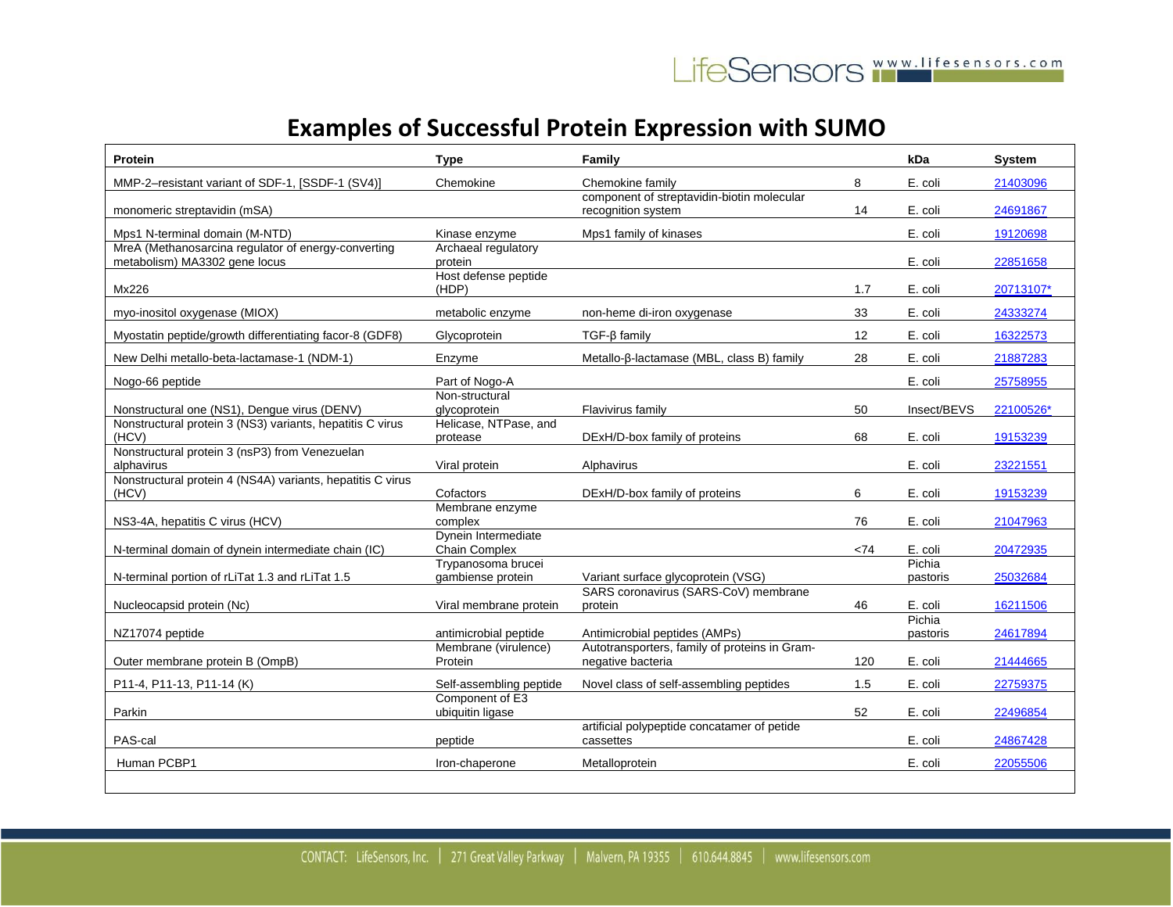| <b>Protein</b>                                                      | <b>Type</b>                                   | Family                                                                         |     | kDa                | <b>System</b> |
|---------------------------------------------------------------------|-----------------------------------------------|--------------------------------------------------------------------------------|-----|--------------------|---------------|
| MMP-2-resistant variant of SDF-1, [SSDF-1 (SV4)]                    | Chemokine                                     | Chemokine family                                                               | 8   | E. coli            | 21403096      |
| monomeric streptavidin (mSA)                                        |                                               | component of streptavidin-biotin molecular<br>recognition system               | 14  | E. coli            | 24691867      |
| Mps1 N-terminal domain (M-NTD)                                      | Kinase enzyme                                 | Mps1 family of kinases                                                         |     | E. coli            | 19120698      |
| MreA (Methanosarcina regulator of energy-converting                 | Archaeal regulatory                           |                                                                                |     |                    |               |
| metabolism) MA3302 gene locus                                       | protein<br>Host defense peptide               |                                                                                |     | E. coli            | 22851658      |
| Mx226                                                               | (HDP)                                         |                                                                                | 1.7 | E. coli            | 20713107*     |
| myo-inositol oxygenase (MIOX)                                       | metabolic enzyme                              | non-heme di-iron oxygenase                                                     | 33  | E. coli            | 24333274      |
| Myostatin peptide/growth differentiating facor-8 (GDF8)             | Glycoprotein                                  | $TGF-\beta family$                                                             | 12  | E. coli            | 16322573      |
| New Delhi metallo-beta-lactamase-1 (NDM-1)                          | Enzyme                                        | Metallo-β-lactamase (MBL, class B) family                                      | 28  | E. coli            | 21887283      |
| Nogo-66 peptide                                                     | Part of Nogo-A                                |                                                                                |     | E. coli            | 25758955      |
| Nonstructural one (NS1), Dengue virus (DENV)                        | Non-structural<br>qlycoprotein                | Flavivirus family                                                              | 50  | Insect/BEVS        | 22100526*     |
| Nonstructural protein 3 (NS3) variants, hepatitis C virus<br>(HCV)  | Helicase, NTPase, and<br>protease             | DExH/D-box family of proteins                                                  | 68  | E. coli            | 19153239      |
| Nonstructural protein 3 (nsP3) from Venezuelan<br>alphavirus        | Viral protein                                 | Alphavirus                                                                     |     | E. coli            | 23221551      |
| Nonstructural protein 4 (NS4A) variants, hepatitis C virus<br>(HCV) | Cofactors                                     | DExH/D-box family of proteins                                                  | 6   | E. coli            | 19153239      |
| NS3-4A, hepatitis C virus (HCV)                                     | Membrane enzyme<br>complex                    |                                                                                | 76  | E. coli            | 21047963      |
| N-terminal domain of dynein intermediate chain (IC)                 | Dynein Intermediate<br>Chain Complex          |                                                                                | <74 | E. coli            | 20472935      |
| N-terminal portion of rLiTat 1.3 and rLiTat 1.5                     | Trypanosoma brucei<br>gambiense protein       | Variant surface glycoprotein (VSG)                                             |     | Pichia<br>pastoris | 25032684      |
|                                                                     |                                               | SARS coronavirus (SARS-CoV) membrane                                           |     |                    |               |
| Nucleocapsid protein (Nc)                                           | Viral membrane protein                        | protein                                                                        | 46  | E. coli<br>Pichia  | 16211506      |
| NZ17074 peptide                                                     | antimicrobial peptide<br>Membrane (virulence) | Antimicrobial peptides (AMPs)<br>Autotransporters, family of proteins in Gram- |     | pastoris           | 24617894      |
| Outer membrane protein B (OmpB)                                     | Protein                                       | negative bacteria                                                              | 120 | E. coli            | 21444665      |
| P11-4, P11-13, P11-14 (K)                                           | Self-assembling peptide                       | Novel class of self-assembling peptides                                        | 1.5 | E. coli            | 22759375      |
| Parkin                                                              | Component of E3<br>ubiquitin ligase           |                                                                                | 52  | E. coli            | 22496854      |
| PAS-cal                                                             | peptide                                       | artificial polypeptide concatamer of petide<br>cassettes                       |     | E. coli            | 24867428      |
| Human PCBP1                                                         | Iron-chaperone                                | Metalloprotein                                                                 |     | E. coli            | 22055506      |
|                                                                     |                                               |                                                                                |     |                    |               |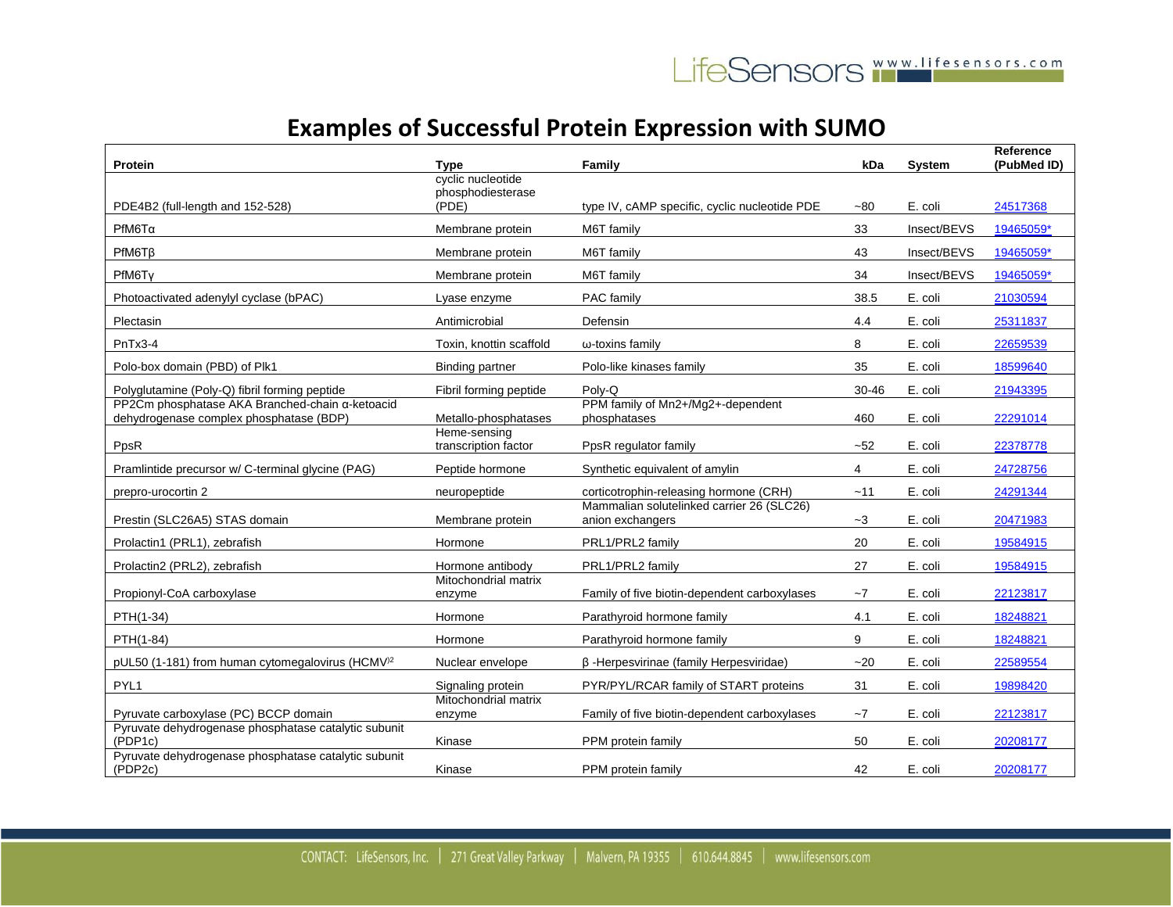| Protein                                                                                    | Type                                   | Family                                                        | kDa   | <b>System</b> | Reference<br>(PubMed ID) |
|--------------------------------------------------------------------------------------------|----------------------------------------|---------------------------------------------------------------|-------|---------------|--------------------------|
|                                                                                            | cyclic nucleotide<br>phosphodiesterase |                                                               |       |               |                          |
| PDE4B2 (full-length and 152-528)                                                           | (PDE)                                  | type IV, cAMP specific, cyclic nucleotide PDE                 | $-80$ | E. coli       | 24517368                 |
| PfM6Ta                                                                                     | Membrane protein                       | M6T family                                                    | 33    | Insect/BEVS   | 19465059*                |
| PfM6T <sub>B</sub>                                                                         | Membrane protein                       | M6T family                                                    | 43    | Insect/BEVS   | 19465059*                |
| PfM6Ty                                                                                     | Membrane protein                       | M6T family                                                    | 34    | Insect/BEVS   | 19465059*                |
| Photoactivated adenylyl cyclase (bPAC)                                                     | Lyase enzyme                           | PAC family                                                    | 38.5  | E. coli       | 21030594                 |
| Plectasin                                                                                  | Antimicrobial                          | Defensin                                                      | 4.4   | E. coli       | 25311837                 |
| PnTx3-4                                                                                    | Toxin, knottin scaffold                | $\omega$ -toxins family                                       | 8     | E. coli       | 22659539                 |
| Polo-box domain (PBD) of Plk1                                                              | <b>Binding partner</b>                 | Polo-like kinases family                                      | 35    | E. coli       | 18599640                 |
| Polyglutamine (Poly-Q) fibril forming peptide                                              | Fibril forming peptide                 | Polv-Q                                                        | 30-46 | E. coli       | 21943395                 |
| PP2Cm phosphatase AKA Branched-chain α-ketoacid<br>dehydrogenase complex phosphatase (BDP) | Metallo-phosphatases                   | PPM family of Mn2+/Mg2+-dependent<br>phosphatases             | 460   | E. coli       | 22291014                 |
| PpsR                                                                                       | Heme-sensing<br>transcription factor   | PpsR regulator family                                         | ~52   | E. coli       | 22378778                 |
| Pramlintide precursor w/ C-terminal glycine (PAG)                                          | Peptide hormone                        | Synthetic equivalent of amylin                                | 4     | E. coli       | 24728756                 |
| prepro-urocortin 2                                                                         | neuropeptide                           | corticotrophin-releasing hormone (CRH)                        | ~11   | E. coli       | 24291344                 |
| Prestin (SLC26A5) STAS domain                                                              | Membrane protein                       | Mammalian solutelinked carrier 26 (SLC26)<br>anion exchangers | $-3$  | E. coli       | 20471983                 |
| Prolactin1 (PRL1), zebrafish                                                               | Hormone                                | PRL1/PRL2 family                                              | 20    | E. coli       | 19584915                 |
| Prolactin2 (PRL2), zebrafish                                                               | Hormone antibody                       | PRL1/PRL2 family                                              | 27    | E. coli       | 19584915                 |
| Propionyl-CoA carboxylase                                                                  | Mitochondrial matrix<br>enzyme         | Family of five biotin-dependent carboxylases                  | $-7$  | E. coli       | 22123817                 |
| PTH(1-34)                                                                                  | Hormone                                | Parathyroid hormone family                                    | 4.1   | E. coli       | 18248821                 |
| PTH(1-84)                                                                                  | Hormone                                | Parathyroid hormone family                                    | 9     | E. coli       | 18248821                 |
| pUL50 (1-181) from human cytomegalovirus (HCMV <sup>)2</sup>                               | Nuclear envelope                       | β-Herpesvirinae (family Herpesviridae)                        | $-20$ | E. coli       | 22589554                 |
| PYL <sub>1</sub>                                                                           | Signaling protein                      | PYR/PYL/RCAR family of START proteins                         | 31    | E. coli       | 19898420                 |
| Pyruvate carboxylase (PC) BCCP domain                                                      | Mitochondrial matrix<br>enzyme         | Family of five biotin-dependent carboxylases                  | $-7$  | E. coli       | 22123817                 |
| Pyruvate dehydrogenase phosphatase catalytic subunit<br>(PDP1c)                            | Kinase                                 | PPM protein family                                            | 50    | E. coli       | 20208177                 |
| Pyruvate dehydrogenase phosphatase catalytic subunit<br>(PDP2c)                            | Kinase                                 | PPM protein family                                            | 42    | E. coli       | 20208177                 |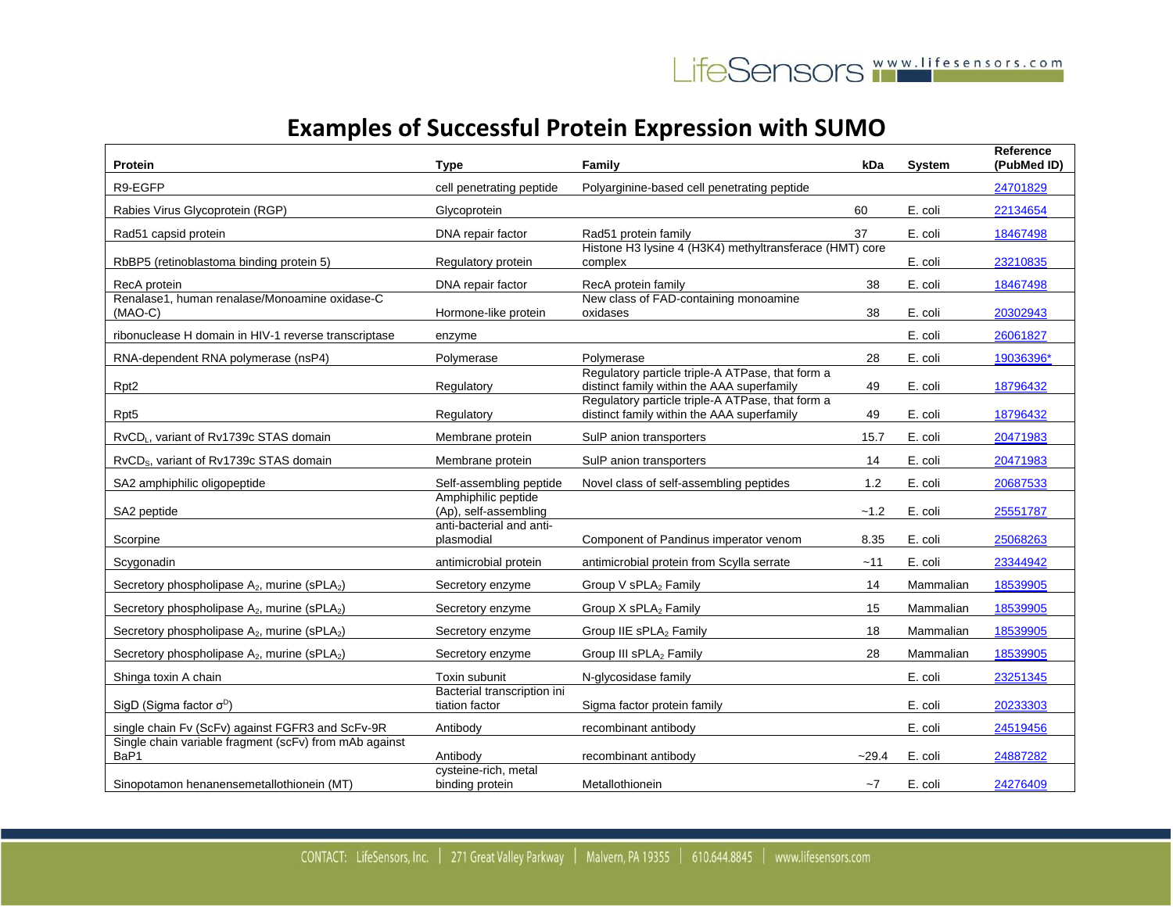| Protein                                                              | Type                                          | Family                                                                                         | kDa     | <b>System</b> | Reference<br>(PubMed ID) |
|----------------------------------------------------------------------|-----------------------------------------------|------------------------------------------------------------------------------------------------|---------|---------------|--------------------------|
| R9-EGFP                                                              | cell penetrating peptide                      | Polyarginine-based cell penetrating peptide                                                    |         |               | 24701829                 |
| Rabies Virus Glycoprotein (RGP)                                      | Glycoprotein                                  |                                                                                                | 60      | E. coli       | 22134654                 |
| Rad51 capsid protein                                                 | DNA repair factor                             | Rad51 protein family                                                                           | 37      | E. coli       | 18467498                 |
| RbBP5 (retinoblastoma binding protein 5)                             | Regulatory protein                            | Histone H3 lysine 4 (H3K4) methyltransferace (HMT) core<br>complex                             |         | E. coli       | 23210835                 |
| RecA protein                                                         | DNA repair factor                             | RecA protein family                                                                            | 38      | E. coli       | 18467498                 |
| Renalase1, human renalase/Monoamine oxidase-C<br>$(MAO-C)$           | Hormone-like protein                          | New class of FAD-containing monoamine<br>oxidases                                              | 38      | E. coli       | 20302943                 |
| ribonuclease H domain in HIV-1 reverse transcriptase                 | enzyme                                        |                                                                                                |         | E. coli       | 26061827                 |
| RNA-dependent RNA polymerase (nsP4)                                  | Polymerase                                    | Polymerase                                                                                     | 28      | E. coli       | 19036396*                |
| Rpt <sub>2</sub>                                                     | Regulatory                                    | Regulatory particle triple-A ATPase, that form a<br>distinct family within the AAA superfamily | 49      | E. coli       | 18796432                 |
| Rpt <sub>5</sub>                                                     | Regulatory                                    | Regulatory particle triple-A ATPase, that form a<br>distinct family within the AAA superfamily | 49      | E. coli       | 18796432                 |
| RvCD <sub>L</sub> , variant of Rv1739c STAS domain                   | Membrane protein                              | SulP anion transporters                                                                        | 15.7    | E. coli       | 20471983                 |
| RvCD <sub>s</sub> , variant of Rv1739c STAS domain                   | Membrane protein                              | SulP anion transporters                                                                        | 14      | E. coli       | 20471983                 |
| SA2 amphiphilic oligopeptide                                         | Self-assembling peptide                       | Novel class of self-assembling peptides                                                        | 1.2     | E. coli       | 20687533                 |
| SA2 peptide                                                          | Amphiphilic peptide<br>(Ap), self-assembling  |                                                                                                | $-1.2$  | E. coli       | 25551787                 |
| Scorpine                                                             | anti-bacterial and anti-<br>plasmodial        | Component of Pandinus imperator venom                                                          | 8.35    | E. coli       | 25068263                 |
| Scygonadin                                                           | antimicrobial protein                         | antimicrobial protein from Scylla serrate                                                      | ~11     | E. coli       | 23344942                 |
| Secretory phospholipase A <sub>2</sub> , murine (sPLA <sub>2</sub> ) | Secretory enzyme                              | Group V sPLA <sub>2</sub> Family                                                               | 14      | Mammalian     | 18539905                 |
| Secretory phospholipase $A_2$ , murine (sPLA <sub>2</sub> )          | Secretory enzyme                              | Group X sPLA <sub>2</sub> Family                                                               | 15      | Mammalian     | 18539905                 |
| Secretory phospholipase A <sub>2</sub> , murine (sPLA <sub>2</sub> ) | Secretory enzyme                              | Group IIE sPLA2 Family                                                                         | 18      | Mammalian     | 18539905                 |
| Secretory phospholipase A <sub>2</sub> , murine (sPLA <sub>2</sub> ) | Secretory enzyme                              | Group III sPLA <sub>2</sub> Family                                                             | 28      | Mammalian     | 18539905                 |
| Shinga toxin A chain                                                 | Toxin subunit                                 | N-glycosidase family                                                                           |         | E. coli       | 23251345                 |
| SigD (Sigma factor $\sigma^D$ )                                      | Bacterial transcription ini<br>tiation factor | Sigma factor protein family                                                                    |         | E. coli       | 20233303                 |
| single chain Fv (ScFv) against FGFR3 and ScFv-9R                     | Antibody                                      | recombinant antibody                                                                           |         | E. coli       | 24519456                 |
| Single chain variable fragment (scFv) from mAb against<br>BaP1       | Antibody                                      | recombinant antibody                                                                           | $-29.4$ | E. coli       | 24887282                 |
| Sinopotamon henanensemetallothionein (MT)                            | cysteine-rich, metal<br>binding protein       | Metallothionein                                                                                | $-7$    | E. coli       | 24276409                 |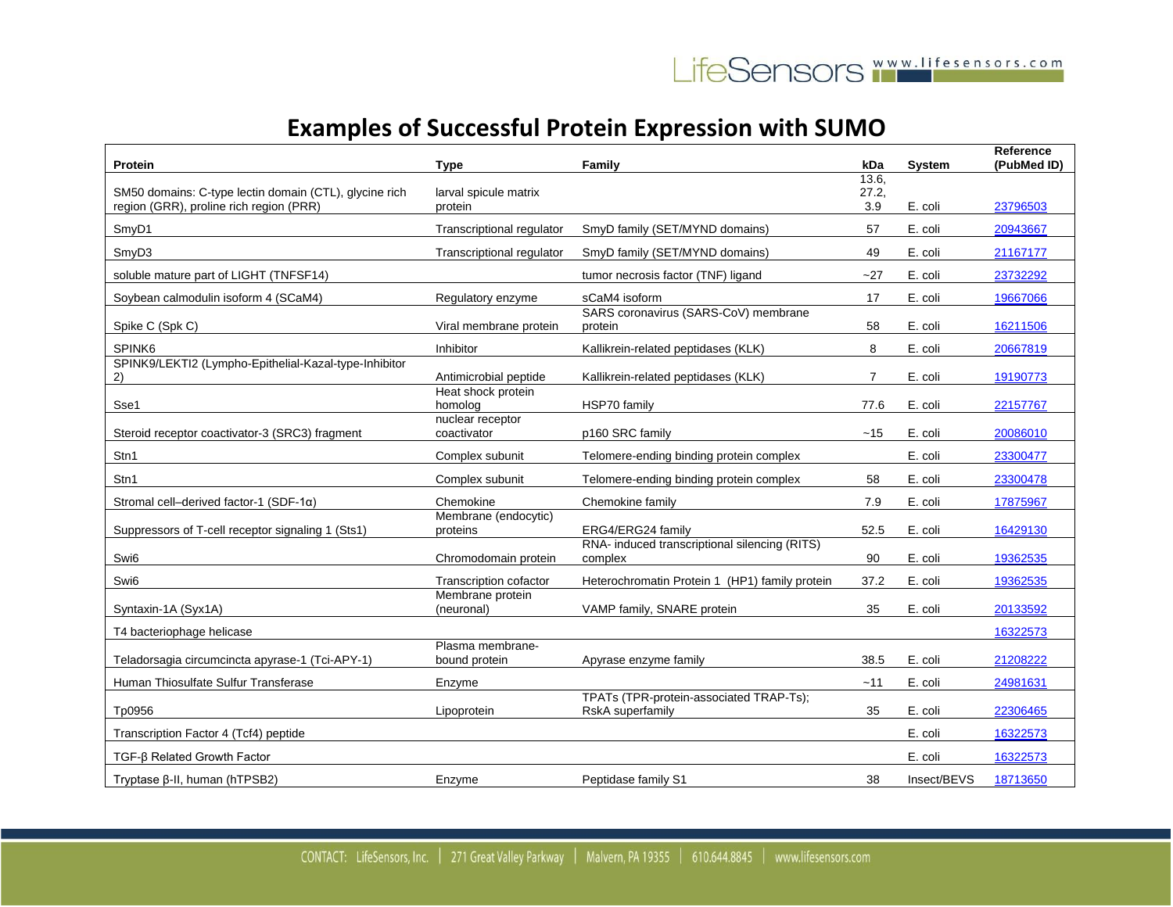| Protein                                                                                           | <b>Type</b>                       | Family                                                      | kDa                   | <b>System</b> | Reference<br>(PubMed ID) |
|---------------------------------------------------------------------------------------------------|-----------------------------------|-------------------------------------------------------------|-----------------------|---------------|--------------------------|
| SM50 domains: C-type lectin domain (CTL), glycine rich<br>region (GRR), proline rich region (PRR) | larval spicule matrix<br>protein  |                                                             | 13.6,<br>27.2,<br>3.9 | E. coli       | 23796503                 |
| SmyD1                                                                                             | <b>Transcriptional requlator</b>  | SmyD family (SET/MYND domains)                              | 57                    | E. coli       | 20943667                 |
| SmyD3                                                                                             | Transcriptional regulator         | SmyD family (SET/MYND domains)                              | 49                    | E. coli       | 21167177                 |
| soluble mature part of LIGHT (TNFSF14)                                                            |                                   | tumor necrosis factor (TNF) ligand                          | ~27                   | E. coli       | 23732292                 |
| Soybean calmodulin isoform 4 (SCaM4)                                                              | Regulatory enzyme                 | sCaM4 isoform                                               | 17                    | E. coli       | 19667066                 |
| Spike C (Spk C)                                                                                   | Viral membrane protein            | SARS coronavirus (SARS-CoV) membrane<br>protein             | 58                    | E. coli       | 16211506                 |
| SPINK6                                                                                            | Inhibitor                         | Kallikrein-related peptidases (KLK)                         | 8                     | E. coli       | 20667819                 |
| SPINK9/LEKTI2 (Lympho-Epithelial-Kazal-type-Inhibitor<br>2)                                       | Antimicrobial peptide             | Kallikrein-related peptidases (KLK)                         | $\overline{7}$        | E. coli       | 19190773                 |
| Sse1                                                                                              | Heat shock protein<br>homolog     | HSP70 family                                                | 77.6                  | E. coli       | 22157767                 |
| Steroid receptor coactivator-3 (SRC3) fragment                                                    | nuclear receptor<br>coactivator   | p160 SRC family                                             | ~15                   | E. coli       | 20086010                 |
| Stn1                                                                                              | Complex subunit                   | Telomere-ending binding protein complex                     |                       | E. coli       | 23300477                 |
| Stn1                                                                                              | Complex subunit                   | Telomere-ending binding protein complex                     | 58                    | E. coli       | 23300478                 |
| Stromal cell-derived factor-1 (SDF-1 $\alpha$ )                                                   | Chemokine                         | Chemokine family                                            | 7.9                   | E. coli       | 17875967                 |
| Suppressors of T-cell receptor signaling 1 (Sts1)                                                 | Membrane (endocytic)<br>proteins  | ERG4/ERG24 family                                           | 52.5                  | E. coli       | 16429130                 |
| Swi6                                                                                              | Chromodomain protein              | RNA- induced transcriptional silencing (RITS)<br>complex    | 90                    | E. coli       | 19362535                 |
| Swi6                                                                                              | Transcription cofactor            | Heterochromatin Protein 1 (HP1) family protein              | 37.2                  | E. coli       | 19362535                 |
| Syntaxin-1A (Syx1A)                                                                               | Membrane protein<br>(neuronal)    | VAMP family, SNARE protein                                  | 35                    | E. coli       | 20133592                 |
| T4 bacteriophage helicase                                                                         |                                   |                                                             |                       |               | 16322573                 |
| Teladorsagia circumcincta apyrase-1 (Tci-APY-1)                                                   | Plasma membrane-<br>bound protein | Apyrase enzyme family                                       | 38.5                  | E. coli       | 21208222                 |
| Human Thiosulfate Sulfur Transferase                                                              | Enzyme                            |                                                             | $-11$                 | E. coli       | 24981631                 |
| Tp0956                                                                                            | Lipoprotein                       | TPATs (TPR-protein-associated TRAP-Ts);<br>RskA superfamily | 35                    | E. coli       | 22306465                 |
| Transcription Factor 4 (Tcf4) peptide                                                             |                                   |                                                             |                       | E. coli       | 16322573                 |
| TGF-ß Related Growth Factor                                                                       |                                   |                                                             |                       | E. coli       | 16322573                 |
| Tryptase β-II, human (hTPSB2)                                                                     | Enzyme                            | Peptidase family S1                                         | 38                    | Insect/BEVS   | 18713650                 |